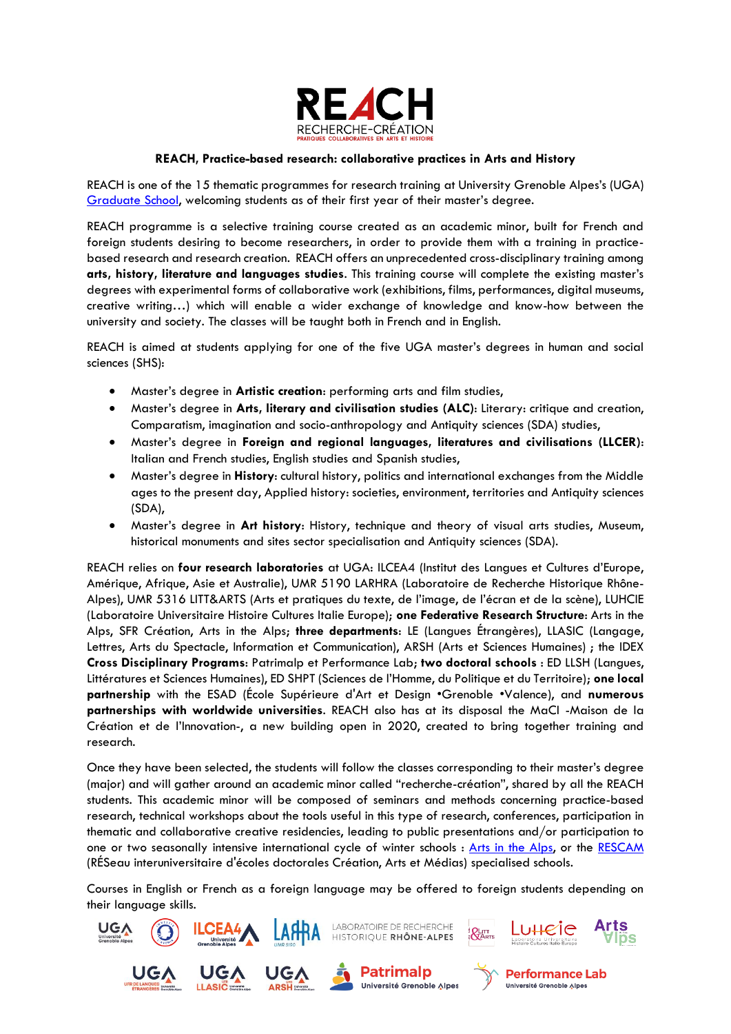

## **REACH, Practice-based research: collaborative practices in Arts and History**

REACH is one of the 15 thematic programmes for research training at University Grenoble Alpes's (UGA) [Graduate School,](https://www.univ-grenoble-alpes.fr/actualites/a-la-une/actualites-universite/idees-uga-et-graduate-school-l-uga-remporte-deux-nouveaux-appels-a-projets-du-programme-investissements-d-avenir-711491.kjsp) welcoming students as of their first year of their master's degree.

REACH programme is a selective training course created as an academic minor, built for French and foreign students desiring to become researchers, in order to provide them with a training in practicebased research and research creation. REACH offers an unprecedented cross-disciplinary training among **arts, history, literature and languages studies**. This training course will complete the existing master's degrees with experimental forms of collaborative work (exhibitions, films, performances, digital museums, creative writing…) which will enable a wider exchange of knowledge and know-how between the university and society. The classes will be taught both in French and in English.

REACH is aimed at students applying for one of the five UGA master's degrees in human and social sciences (SHS):

- Master's degree in **Artistic creation**: performing arts and film studies,
- Master's degree in **Arts, literary and civilisation studies (ALC)**: Literary: critique and creation, Comparatism, imagination and socio-anthropology and Antiquity sciences (SDA) studies,
- Master's degree in **Foreign and regional languages, literatures and civilisations (LLCER)**: Italian and French studies, English studies and Spanish studies,
- Master's degree in **History**: cultural history, politics and international exchanges from the Middle ages to the present day, Applied history: societies, environment, territories and Antiquity sciences (SDA),
- Master's degree in **Art history**: History, technique and theory of visual arts studies, Museum, historical monuments and sites sector specialisation and Antiquity sciences (SDA).

REACH relies on **four research laboratories** at UGA: ILCEA4 (Institut des Langues et Cultures d'Europe, Amérique, Afrique, Asie et Australie), UMR 5190 LARHRA (Laboratoire de Recherche Historique Rhône-Alpes), UMR 5316 LITT&ARTS (Arts et pratiques du texte, de l'image, de l'écran et de la scène), LUHCIE (Laboratoire Universitaire Histoire Cultures Italie Europe); **one Federative Research Structure**: Arts in the Alps, SFR Création, Arts in the Alps; **three departments**: LE (Langues Étrangères), LLASIC (Langage, Lettres, Arts du Spectacle, Information et Communication), ARSH (Arts et Sciences Humaines) ; the IDEX **Cross Disciplinary Programs**: Patrimalp et Performance Lab; **two doctoral schools** : ED LLSH (Langues, Littératures et Sciences Humaines), ED SHPT (Sciences de l'Homme, du Politique et du Territoire); **one local partnership** with the ESAD (École Supérieure d'Art et Design •Grenoble •Valence), and **numerous partnerships with worldwide universities**. REACH also has at its disposal the MaCI -Maison de la Création et de l'Innovation-, a new building open in 2020, created to bring together training and research.

Once they have been selected, the students will follow the classes corresponding to their master's degree (major) and will gather around an academic minor called "recherche-création", shared by all the REACH students. This academic minor will be composed of seminars and methods concerning practice-based research, technical workshops about the tools useful in this type of research, conferences, participation in thematic and collaborative creative residencies, leading to public presentations and/or participation to one or two seasonally intensive international cycle of winter schools : [Arts in the Alps,](https://www.arts-in-the-alps.com/home/) or the [RESCAM](http://res-cam.com/) (RÉSeau interuniversitaire d'écoles doctorales Création, Arts et Médias) specialised schools.

Courses in English or French as a foreign language may be offered to foreign students depending on their language skills.